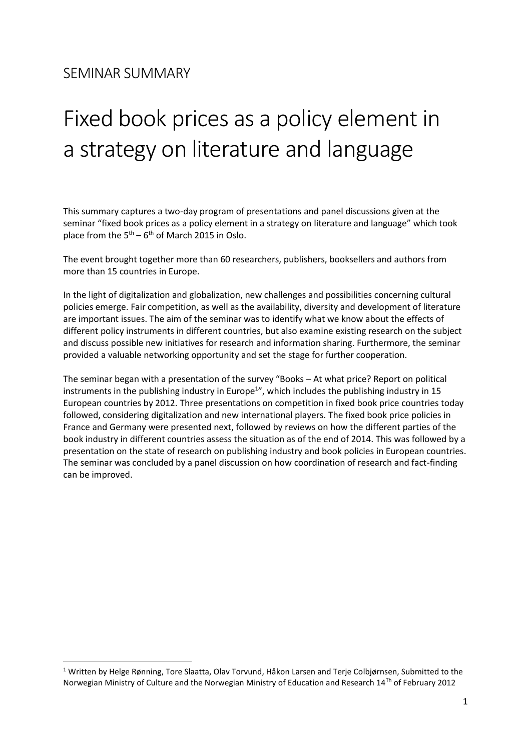$\overline{a}$ 

# Fixed book prices as a policy element in a strategy on literature and language

This summary captures a two-day program of presentations and panel discussions given at the seminar "fixed book prices as a policy element in a strategy on literature and language" which took place from the  $5<sup>th</sup> - 6<sup>th</sup>$  of March 2015 in Oslo.

The event brought together more than 60 researchers, publishers, booksellers and authors from more than 15 countries in Europe.

In the light of digitalization and globalization, new challenges and possibilities concerning cultural policies emerge. Fair competition, as well as the availability, diversity and development of literature are important issues. The aim of the seminar was to identify what we know about the effects of different policy instruments in different countries, but also examine existing research on the subject and discuss possible new initiatives for research and information sharing. Furthermore, the seminar provided a valuable networking opportunity and set the stage for further cooperation.

The seminar began with a presentation of the survey "Books – At what price? Report on political instruments in the publishing industry in Europe<sup>1</sup>", which includes the publishing industry in 15 European countries by 2012. Three presentations on competition in fixed book price countries today followed, considering digitalization and new international players. The fixed book price policies in France and Germany were presented next, followed by reviews on how the different parties of the book industry in different countries assess the situation as of the end of 2014. This was followed by a presentation on the state of research on publishing industry and book policies in European countries. The seminar was concluded by a panel discussion on how coordination of research and fact-finding can be improved.

<sup>1</sup> Written by Helge Rønning, Tore Slaatta, Olav Torvund, Håkon Larsen and Terje Colbjørnsen, Submitted to the Norwegian Ministry of Culture and the Norwegian Ministry of Education and Research 14Th of February 2012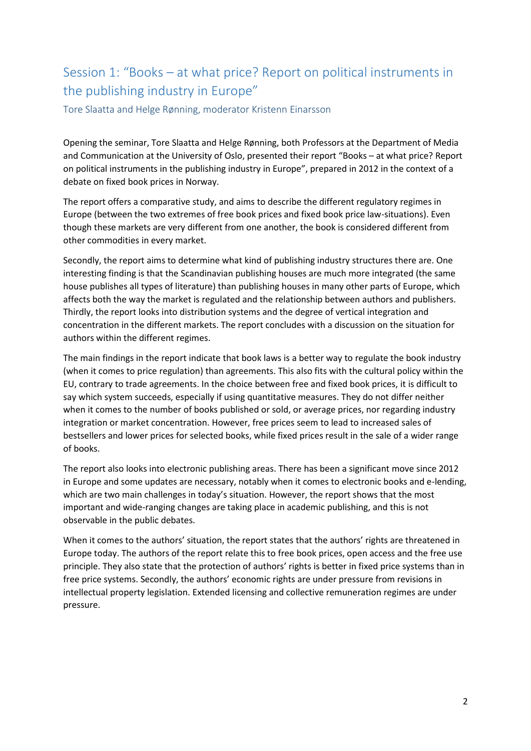# Session 1: "Books – at what price? Report on political instruments in the publishing industry in Europe"

Tore Slaatta and Helge Rønning, moderator Kristenn Einarsson

Opening the seminar, Tore Slaatta and Helge Rønning, both Professors at the Department of Media and Communication at the University of Oslo, presented their report "Books – at what price? Report on political instruments in the publishing industry in Europe", prepared in 2012 in the context of a debate on fixed book prices in Norway.

The report offers a comparative study, and aims to describe the different regulatory regimes in Europe (between the two extremes of free book prices and fixed book price law-situations). Even though these markets are very different from one another, the book is considered different from other commodities in every market.

Secondly, the report aims to determine what kind of publishing industry structures there are. One interesting finding is that the Scandinavian publishing houses are much more integrated (the same house publishes all types of literature) than publishing houses in many other parts of Europe, which affects both the way the market is regulated and the relationship between authors and publishers. Thirdly, the report looks into distribution systems and the degree of vertical integration and concentration in the different markets. The report concludes with a discussion on the situation for authors within the different regimes.

The main findings in the report indicate that book laws is a better way to regulate the book industry (when it comes to price regulation) than agreements. This also fits with the cultural policy within the EU, contrary to trade agreements. In the choice between free and fixed book prices, it is difficult to say which system succeeds, especially if using quantitative measures. They do not differ neither when it comes to the number of books published or sold, or average prices, nor regarding industry integration or market concentration. However, free prices seem to lead to increased sales of bestsellers and lower prices for selected books, while fixed prices result in the sale of a wider range of books.

The report also looks into electronic publishing areas. There has been a significant move since 2012 in Europe and some updates are necessary, notably when it comes to electronic books and e-lending, which are two main challenges in today's situation. However, the report shows that the most important and wide-ranging changes are taking place in academic publishing, and this is not observable in the public debates.

When it comes to the authors' situation, the report states that the authors' rights are threatened in Europe today. The authors of the report relate this to free book prices, open access and the free use principle. They also state that the protection of authors' rights is better in fixed price systems than in free price systems. Secondly, the authors' economic rights are under pressure from revisions in intellectual property legislation. Extended licensing and collective remuneration regimes are under pressure.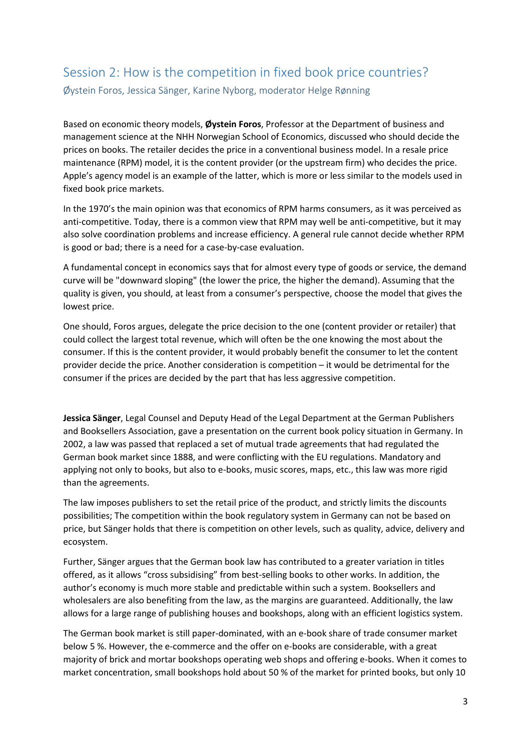#### Session 2: How is the competition in fixed book price countries? Øystein Foros, Jessica Sänger, Karine Nyborg, moderator Helge Rønning

Based on economic theory models, **Øystein Foros**, Professor at the Department of business and management science at the NHH Norwegian School of Economics, discussed who should decide the prices on books. The retailer decides the price in a conventional business model. In a resale price maintenance (RPM) model, it is the content provider (or the upstream firm) who decides the price. Apple's agency model is an example of the latter, which is more or less similar to the models used in fixed book price markets.

In the 1970's the main opinion was that economics of RPM harms consumers, as it was perceived as anti-competitive. Today, there is a common view that RPM may well be anti-competitive, but it may also solve coordination problems and increase efficiency. A general rule cannot decide whether RPM is good or bad; there is a need for a case-by-case evaluation.

A fundamental concept in economics says that for almost every type of goods or service, the demand curve will be "downward sloping" (the lower the price, the higher the demand). Assuming that the quality is given, you should, at least from a consumer's perspective, choose the model that gives the lowest price.

One should, Foros argues, delegate the price decision to the one (content provider or retailer) that could collect the largest total revenue, which will often be the one knowing the most about the consumer. If this is the content provider, it would probably benefit the consumer to let the content provider decide the price. Another consideration is competition – it would be detrimental for the consumer if the prices are decided by the part that has less aggressive competition.

**Jessica Sänger**, Legal Counsel and Deputy Head of the Legal Department at the German Publishers and Booksellers Association, gave a presentation on the current book policy situation in Germany. In 2002, a law was passed that replaced a set of mutual trade agreements that had regulated the German book market since 1888, and were conflicting with the EU regulations. Mandatory and applying not only to books, but also to e-books, music scores, maps, etc., this law was more rigid than the agreements.

The law imposes publishers to set the retail price of the product, and strictly limits the discounts possibilities; The competition within the book regulatory system in Germany can not be based on price, but Sänger holds that there is competition on other levels, such as quality, advice, delivery and ecosystem.

Further, Sänger argues that the German book law has contributed to a greater variation in titles offered, as it allows "cross subsidising" from best-selling books to other works. In addition, the author's economy is much more stable and predictable within such a system. Booksellers and wholesalers are also benefiting from the law, as the margins are guaranteed. Additionally, the law allows for a large range of publishing houses and bookshops, along with an efficient logistics system.

The German book market is still paper-dominated, with an e-book share of trade consumer market below 5 %. However, the e-commerce and the offer on e-books are considerable, with a great majority of brick and mortar bookshops operating web shops and offering e-books. When it comes to market concentration, small bookshops hold about 50 % of the market for printed books, but only 10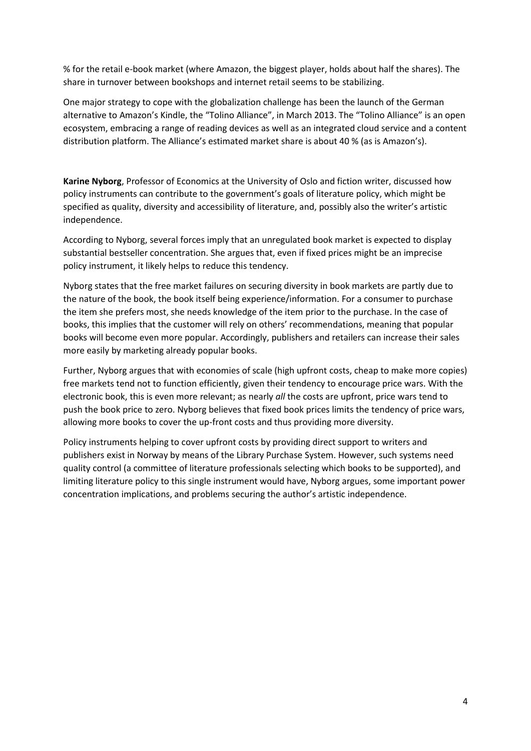% for the retail e-book market (where Amazon, the biggest player, holds about half the shares). The share in turnover between bookshops and internet retail seems to be stabilizing.

One major strategy to cope with the globalization challenge has been the launch of the German alternative to Amazon's Kindle, the "Tolino Alliance", in March 2013. The "Tolino Alliance" is an open ecosystem, embracing a range of reading devices as well as an integrated cloud service and a content distribution platform. The Alliance's estimated market share is about 40 % (as is Amazon's).

**Karine Nyborg**, Professor of Economics at the University of Oslo and fiction writer, discussed how policy instruments can contribute to the government's goals of literature policy, which might be specified as quality, diversity and accessibility of literature, and, possibly also the writer's artistic independence.

According to Nyborg, several forces imply that an unregulated book market is expected to display substantial bestseller concentration. She argues that, even if fixed prices might be an imprecise policy instrument, it likely helps to reduce this tendency.

Nyborg states that the free market failures on securing diversity in book markets are partly due to the nature of the book, the book itself being experience/information. For a consumer to purchase the item she prefers most, she needs knowledge of the item prior to the purchase. In the case of books, this implies that the customer will rely on others' recommendations, meaning that popular books will become even more popular. Accordingly, publishers and retailers can increase their sales more easily by marketing already popular books.

Further, Nyborg argues that with economies of scale (high upfront costs, cheap to make more copies) free markets tend not to function efficiently, given their tendency to encourage price wars. With the electronic book, this is even more relevant; as nearly *all* the costs are upfront, price wars tend to push the book price to zero. Nyborg believes that fixed book prices limits the tendency of price wars, allowing more books to cover the up-front costs and thus providing more diversity.

Policy instruments helping to cover upfront costs by providing direct support to writers and publishers exist in Norway by means of the Library Purchase System. However, such systems need quality control (a committee of literature professionals selecting which books to be supported), and limiting literature policy to this single instrument would have, Nyborg argues, some important power concentration implications, and problems securing the author's artistic independence.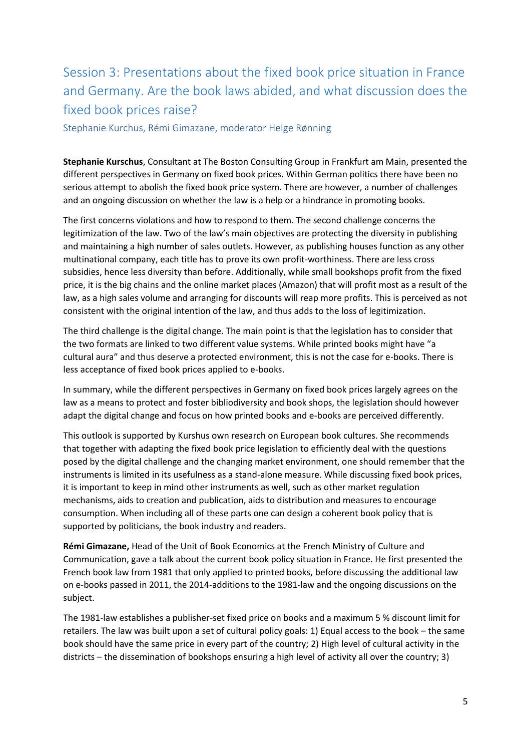# Session 3: Presentations about the fixed book price situation in France and Germany. Are the book laws abided, and what discussion does the fixed book prices raise?

Stephanie Kurchus, Rémi Gimazane, moderator Helge Rønning

**Stephanie Kurschus**, Consultant at The Boston Consulting Group in Frankfurt am Main, presented the different perspectives in Germany on fixed book prices. Within German politics there have been no serious attempt to abolish the fixed book price system. There are however, a number of challenges and an ongoing discussion on whether the law is a help or a hindrance in promoting books.

The first concerns violations and how to respond to them. The second challenge concerns the legitimization of the law. Two of the law's main objectives are protecting the diversity in publishing and maintaining a high number of sales outlets. However, as publishing houses function as any other multinational company, each title has to prove its own profit-worthiness. There are less cross subsidies, hence less diversity than before. Additionally, while small bookshops profit from the fixed price, it is the big chains and the online market places (Amazon) that will profit most as a result of the law, as a high sales volume and arranging for discounts will reap more profits. This is perceived as not consistent with the original intention of the law, and thus adds to the loss of legitimization.

The third challenge is the digital change. The main point is that the legislation has to consider that the two formats are linked to two different value systems. While printed books might have "a cultural aura" and thus deserve a protected environment, this is not the case for e-books. There is less acceptance of fixed book prices applied to e-books.

In summary, while the different perspectives in Germany on fixed book prices largely agrees on the law as a means to protect and foster bibliodiversity and book shops, the legislation should however adapt the digital change and focus on how printed books and e-books are perceived differently.

This outlook is supported by Kurshus own research on European book cultures. She recommends that together with adapting the fixed book price legislation to efficiently deal with the questions posed by the digital challenge and the changing market environment, one should remember that the instruments is limited in its usefulness as a stand-alone measure. While discussing fixed book prices, it is important to keep in mind other instruments as well, such as other market regulation mechanisms, aids to creation and publication, aids to distribution and measures to encourage consumption. When including all of these parts one can design a coherent book policy that is supported by politicians, the book industry and readers.

**Rémi Gimazane,** Head of the Unit of Book Economics at the French Ministry of Culture and Communication, gave a talk about the current book policy situation in France. He first presented the French book law from 1981 that only applied to printed books, before discussing the additional law on e-books passed in 2011, the 2014-additions to the 1981-law and the ongoing discussions on the subject.

The 1981-law establishes a publisher-set fixed price on books and a maximum 5 % discount limit for retailers. The law was built upon a set of cultural policy goals: 1) Equal access to the book – the same book should have the same price in every part of the country; 2) High level of cultural activity in the districts – the dissemination of bookshops ensuring a high level of activity all over the country; 3)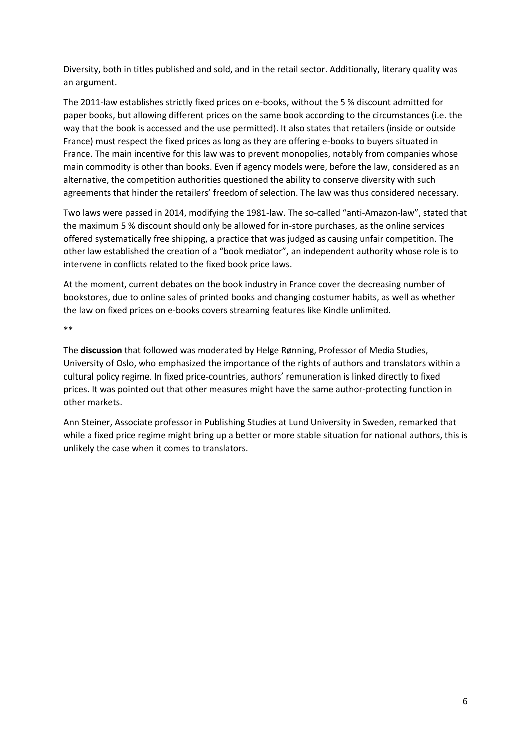Diversity, both in titles published and sold, and in the retail sector. Additionally, literary quality was an argument.

The 2011-law establishes strictly fixed prices on e-books, without the 5 % discount admitted for paper books, but allowing different prices on the same book according to the circumstances (i.e. the way that the book is accessed and the use permitted). It also states that retailers (inside or outside France) must respect the fixed prices as long as they are offering e-books to buyers situated in France. The main incentive for this law was to prevent monopolies, notably from companies whose main commodity is other than books. Even if agency models were, before the law, considered as an alternative, the competition authorities questioned the ability to conserve diversity with such agreements that hinder the retailers' freedom of selection. The law was thus considered necessary.

Two laws were passed in 2014, modifying the 1981-law. The so-called "anti-Amazon-law", stated that the maximum 5 % discount should only be allowed for in-store purchases, as the online services offered systematically free shipping, a practice that was judged as causing unfair competition. The other law established the creation of a "book mediator", an independent authority whose role is to intervene in conflicts related to the fixed book price laws.

At the moment, current debates on the book industry in France cover the decreasing number of bookstores, due to online sales of printed books and changing costumer habits, as well as whether the law on fixed prices on e-books covers streaming features like Kindle unlimited.

\*\*

The **discussion** that followed was moderated by Helge Rønning, Professor of Media Studies, University of Oslo, who emphasized the importance of the rights of authors and translators within a cultural policy regime. In fixed price-countries, authors' remuneration is linked directly to fixed prices. It was pointed out that other measures might have the same author-protecting function in other markets.

Ann Steiner, Associate professor in Publishing Studies at Lund University in Sweden, remarked that while a fixed price regime might bring up a better or more stable situation for national authors, this is unlikely the case when it comes to translators.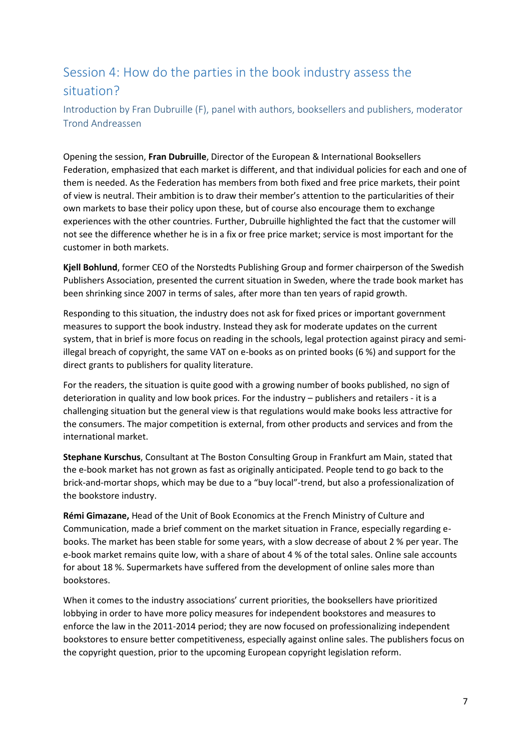# Session 4: How do the parties in the book industry assess the situation?

Introduction by Fran Dubruille (F), panel with authors, booksellers and publishers, moderator Trond Andreassen

Opening the session, **Fran Dubruille**, Director of the European & International Booksellers Federation, emphasized that each market is different, and that individual policies for each and one of them is needed. As the Federation has members from both fixed and free price markets, their point of view is neutral. Their ambition is to draw their member's attention to the particularities of their own markets to base their policy upon these, but of course also encourage them to exchange experiences with the other countries. Further, Dubruille highlighted the fact that the customer will not see the difference whether he is in a fix or free price market; service is most important for the customer in both markets.

**Kjell Bohlund**, former CEO of the Norstedts Publishing Group and former chairperson of the Swedish Publishers Association, presented the current situation in Sweden, where the trade book market has been shrinking since 2007 in terms of sales, after more than ten years of rapid growth.

Responding to this situation, the industry does not ask for fixed prices or important government measures to support the book industry. Instead they ask for moderate updates on the current system, that in brief is more focus on reading in the schools, legal protection against piracy and semiillegal breach of copyright, the same VAT on e-books as on printed books (6 %) and support for the direct grants to publishers for quality literature.

For the readers, the situation is quite good with a growing number of books published, no sign of deterioration in quality and low book prices. For the industry – publishers and retailers - it is a challenging situation but the general view is that regulations would make books less attractive for the consumers. The major competition is external, from other products and services and from the international market.

**Stephane Kurschus**, Consultant at The Boston Consulting Group in Frankfurt am Main, stated that the e-book market has not grown as fast as originally anticipated. People tend to go back to the brick-and-mortar shops, which may be due to a "buy local"-trend, but also a professionalization of the bookstore industry.

**Rémi Gimazane,** Head of the Unit of Book Economics at the French Ministry of Culture and Communication, made a brief comment on the market situation in France, especially regarding ebooks. The market has been stable for some years, with a slow decrease of about 2 % per year. The e-book market remains quite low, with a share of about 4 % of the total sales. Online sale accounts for about 18 %. Supermarkets have suffered from the development of online sales more than bookstores.

When it comes to the industry associations' current priorities, the booksellers have prioritized lobbying in order to have more policy measures for independent bookstores and measures to enforce the law in the 2011-2014 period; they are now focused on professionalizing independent bookstores to ensure better competitiveness, especially against online sales. The publishers focus on the copyright question, prior to the upcoming European copyright legislation reform.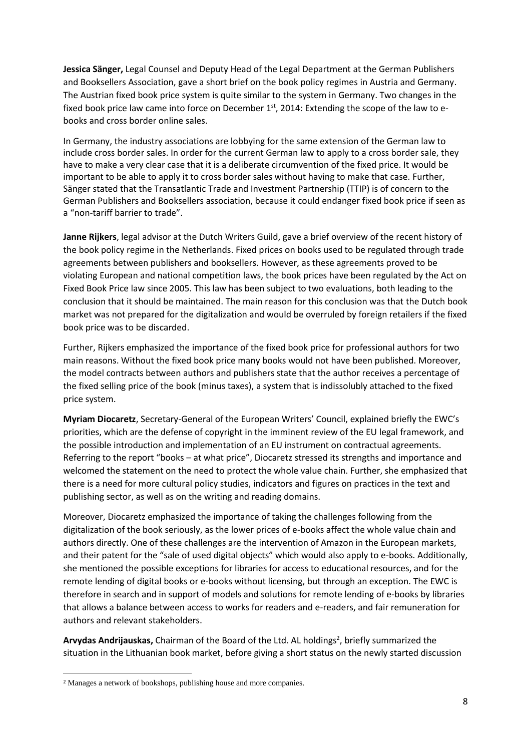**Jessica Sänger,** Legal Counsel and Deputy Head of the Legal Department at the German Publishers and Booksellers Association, gave a short brief on the book policy regimes in Austria and Germany. The Austrian fixed book price system is quite similar to the system in Germany. Two changes in the fixed book price law came into force on December  $1<sup>st</sup>$ , 2014: Extending the scope of the law to ebooks and cross border online sales.

In Germany, the industry associations are lobbying for the same extension of the German law to include cross border sales. In order for the current German law to apply to a cross border sale, they have to make a very clear case that it is a deliberate circumvention of the fixed price. It would be important to be able to apply it to cross border sales without having to make that case. Further, Sänger stated that the Transatlantic Trade and Investment Partnership (TTIP) is of concern to the German Publishers and Booksellers association, because it could endanger fixed book price if seen as a "non-tariff barrier to trade".

**Janne Rijkers**, legal advisor at the Dutch Writers Guild, gave a brief overview of the recent history of the book policy regime in the Netherlands. Fixed prices on books used to be regulated through trade agreements between publishers and booksellers. However, as these agreements proved to be violating European and national competition laws, the book prices have been regulated by the Act on Fixed Book Price law since 2005. This law has been subject to two evaluations, both leading to the conclusion that it should be maintained. The main reason for this conclusion was that the Dutch book market was not prepared for the digitalization and would be overruled by foreign retailers if the fixed book price was to be discarded.

Further, Rijkers emphasized the importance of the fixed book price for professional authors for two main reasons. Without the fixed book price many books would not have been published. Moreover, the model contracts between authors and publishers state that the author receives a percentage of the fixed selling price of the book (minus taxes), a system that is indissolubly attached to the fixed price system.

**Myriam Diocaretz**, Secretary-General of the European Writers' Council, explained briefly the EWC's priorities, which are the defense of copyright in the imminent review of the EU legal framework, and the possible introduction and implementation of an EU instrument on contractual agreements. Referring to the report "books – at what price", Diocaretz stressed its strengths and importance and welcomed the statement on the need to protect the whole value chain. Further, she emphasized that there is a need for more cultural policy studies, indicators and figures on practices in the text and publishing sector, as well as on the writing and reading domains.

Moreover, Diocaretz emphasized the importance of taking the challenges following from the digitalization of the book seriously, as the lower prices of e-books affect the whole value chain and authors directly. One of these challenges are the intervention of Amazon in the European markets, and their patent for the "sale of used digital objects" which would also apply to e-books. Additionally, she mentioned the possible exceptions for libraries for access to educational resources, and for the remote lending of digital books or e-books without licensing, but through an exception. The EWC is therefore in search and in support of models and solutions for remote lending of e-books by libraries that allows a balance between access to works for readers and e-readers, and fair remuneration for authors and relevant stakeholders.

Arvydas Andrijauskas, Chairman of the Board of the Ltd. AL holdings<sup>2</sup>, briefly summarized the situation in the Lithuanian book market, before giving a short status on the newly started discussion

 $\overline{\phantom{a}}$ 

<sup>2</sup> Manages a network of bookshops, publishing house and more companies.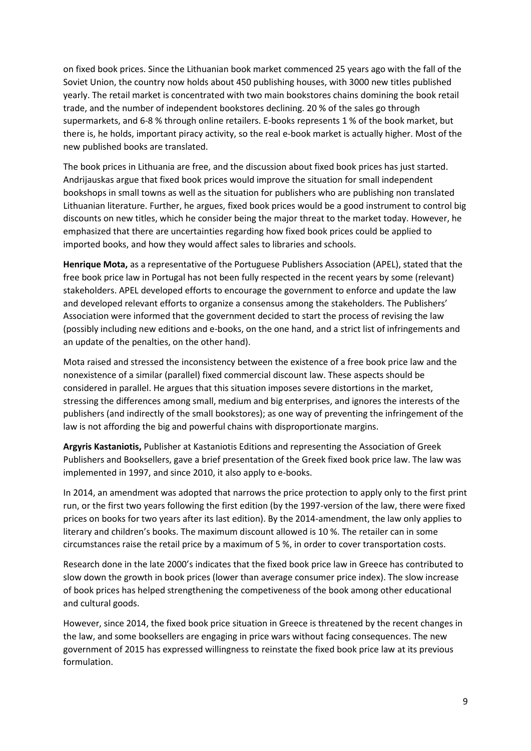on fixed book prices. Since the Lithuanian book market commenced 25 years ago with the fall of the Soviet Union, the country now holds about 450 publishing houses, with 3000 new titles published yearly. The retail market is concentrated with two main bookstores chains domining the book retail trade, and the number of independent bookstores declining. 20 % of the sales go through supermarkets, and 6-8 % through online retailers. E-books represents 1 % of the book market, but there is, he holds, important piracy activity, so the real e-book market is actually higher. Most of the new published books are translated.

The book prices in Lithuania are free, and the discussion about fixed book prices has just started. Andrijauskas argue that fixed book prices would improve the situation for small independent bookshops in small towns as well as the situation for publishers who are publishing non translated Lithuanian literature. Further, he argues, fixed book prices would be a good instrument to control big discounts on new titles, which he consider being the major threat to the market today. However, he emphasized that there are uncertainties regarding how fixed book prices could be applied to imported books, and how they would affect sales to libraries and schools.

**Henrique Mota,** as a representative of the Portuguese Publishers Association (APEL), stated that the free book price law in Portugal has not been fully respected in the recent years by some (relevant) stakeholders. APEL developed efforts to encourage the government to enforce and update the law and developed relevant efforts to organize a consensus among the stakeholders. The Publishers' Association were informed that the government decided to start the process of revising the law (possibly including new editions and e-books, on the one hand, and a strict list of infringements and an update of the penalties, on the other hand).

Mota raised and stressed the inconsistency between the existence of a free book price law and the nonexistence of a similar (parallel) fixed commercial discount law. These aspects should be considered in parallel. He argues that this situation imposes severe distortions in the market, stressing the differences among small, medium and big enterprises, and ignores the interests of the publishers (and indirectly of the small bookstores); as one way of preventing the infringement of the law is not affording the big and powerful chains with disproportionate margins.

**Argyris Kastaniotis,** Publisher at Kastaniotis Editions and representing the Association of Greek Publishers and Booksellers, gave a brief presentation of the Greek fixed book price law. The law was implemented in 1997, and since 2010, it also apply to e-books.

In 2014, an amendment was adopted that narrows the price protection to apply only to the first print run, or the first two years following the first edition (by the 1997-version of the law, there were fixed prices on books for two years after its last edition). By the 2014-amendment, the law only applies to literary and children's books. The maximum discount allowed is 10 %. The retailer can in some circumstances raise the retail price by a maximum of 5 %, in order to cover transportation costs.

Research done in the late 2000's indicates that the fixed book price law in Greece has contributed to slow down the growth in book prices (lower than average consumer price index). The slow increase of book prices has helped strengthening the competiveness of the book among other educational and cultural goods.

However, since 2014, the fixed book price situation in Greece is threatened by the recent changes in the law, and some booksellers are engaging in price wars without facing consequences. The new government of 2015 has expressed willingness to reinstate the fixed book price law at its previous formulation.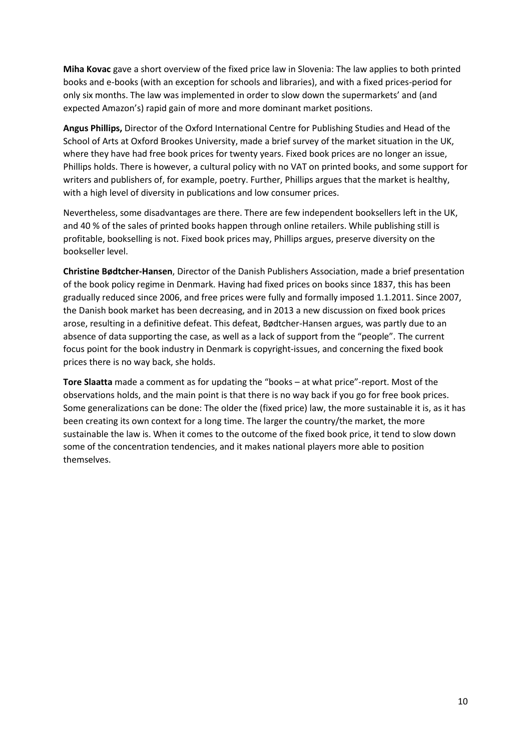**Miha Kovac** gave a short overview of the fixed price law in Slovenia: The law applies to both printed books and e-books (with an exception for schools and libraries), and with a fixed prices-period for only six months. The law was implemented in order to slow down the supermarkets' and (and expected Amazon's) rapid gain of more and more dominant market positions.

**Angus Phillips,** Director of the Oxford International Centre for Publishing Studies and Head of the School of Arts at Oxford Brookes University, made a brief survey of the market situation in the UK, where they have had free book prices for twenty years. Fixed book prices are no longer an issue, Phillips holds. There is however, a cultural policy with no VAT on printed books, and some support for writers and publishers of, for example, poetry. Further, Phillips argues that the market is healthy, with a high level of diversity in publications and low consumer prices.

Nevertheless, some disadvantages are there. There are few independent booksellers left in the UK, and 40 % of the sales of printed books happen through online retailers. While publishing still is profitable, bookselling is not. Fixed book prices may, Phillips argues, preserve diversity on the bookseller level.

**Christine Bødtcher-Hansen**, Director of the Danish Publishers Association, made a brief presentation of the book policy regime in Denmark. Having had fixed prices on books since 1837, this has been gradually reduced since 2006, and free prices were fully and formally imposed 1.1.2011. Since 2007, the Danish book market has been decreasing, and in 2013 a new discussion on fixed book prices arose, resulting in a definitive defeat. This defeat, Bødtcher-Hansen argues, was partly due to an absence of data supporting the case, as well as a lack of support from the "people". The current focus point for the book industry in Denmark is copyright-issues, and concerning the fixed book prices there is no way back, she holds.

**Tore Slaatta** made a comment as for updating the "books – at what price"-report. Most of the observations holds, and the main point is that there is no way back if you go for free book prices. Some generalizations can be done: The older the (fixed price) law, the more sustainable it is, as it has been creating its own context for a long time. The larger the country/the market, the more sustainable the law is. When it comes to the outcome of the fixed book price, it tend to slow down some of the concentration tendencies, and it makes national players more able to position themselves.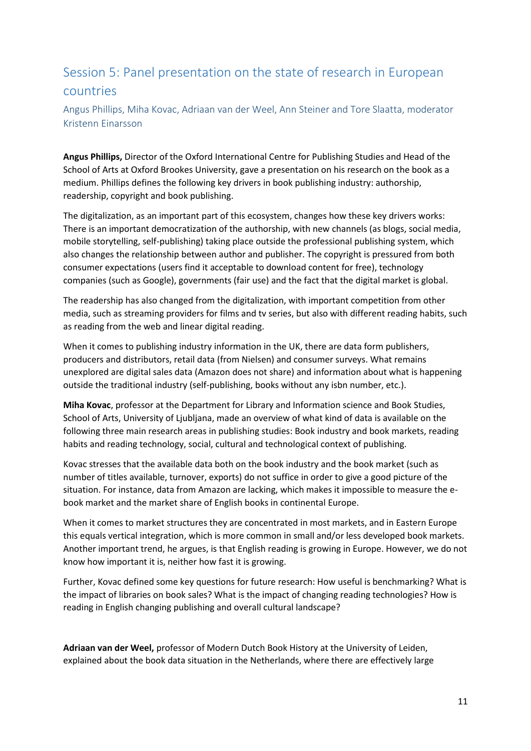# Session 5: Panel presentation on the state of research in European countries

Angus Phillips, Miha Kovac, Adriaan van der Weel, Ann Steiner and Tore Slaatta, moderator Kristenn Einarsson

**Angus Phillips,** Director of the Oxford International Centre for Publishing Studies and Head of the School of Arts at Oxford Brookes University, gave a presentation on his research on the book as a medium. Phillips defines the following key drivers in book publishing industry: authorship, readership, copyright and book publishing.

The digitalization, as an important part of this ecosystem, changes how these key drivers works: There is an important democratization of the authorship, with new channels (as blogs, social media, mobile storytelling, self-publishing) taking place outside the professional publishing system, which also changes the relationship between author and publisher. The copyright is pressured from both consumer expectations (users find it acceptable to download content for free), technology companies (such as Google), governments (fair use) and the fact that the digital market is global.

The readership has also changed from the digitalization, with important competition from other media, such as streaming providers for films and tv series, but also with different reading habits, such as reading from the web and linear digital reading.

When it comes to publishing industry information in the UK, there are data form publishers, producers and distributors, retail data (from Nielsen) and consumer surveys. What remains unexplored are digital sales data (Amazon does not share) and information about what is happening outside the traditional industry (self-publishing, books without any isbn number, etc.).

**Miha Kovac**, professor at the Department for Library and Information science and Book Studies, School of Arts, University of Ljubljana, made an overview of what kind of data is available on the following three main research areas in publishing studies: Book industry and book markets, reading habits and reading technology, social, cultural and technological context of publishing.

Kovac stresses that the available data both on the book industry and the book market (such as number of titles available, turnover, exports) do not suffice in order to give a good picture of the situation. For instance, data from Amazon are lacking, which makes it impossible to measure the ebook market and the market share of English books in continental Europe.

When it comes to market structures they are concentrated in most markets, and in Eastern Europe this equals vertical integration, which is more common in small and/or less developed book markets. Another important trend, he argues, is that English reading is growing in Europe. However, we do not know how important it is, neither how fast it is growing.

Further, Kovac defined some key questions for future research: How useful is benchmarking? What is the impact of libraries on book sales? What is the impact of changing reading technologies? How is reading in English changing publishing and overall cultural landscape?

**Adriaan van der Weel,** professor of Modern Dutch Book History at the University of Leiden, explained about the book data situation in the Netherlands, where there are effectively large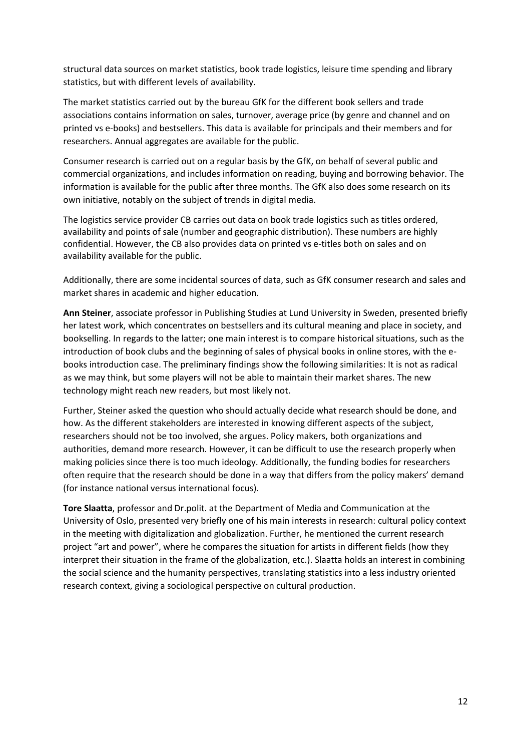structural data sources on market statistics, book trade logistics, leisure time spending and library statistics, but with different levels of availability.

The market statistics carried out by the bureau GfK for the different book sellers and trade associations contains information on sales, turnover, average price (by genre and channel and on printed vs e-books) and bestsellers. This data is available for principals and their members and for researchers. Annual aggregates are available for the public.

Consumer research is carried out on a regular basis by the GfK, on behalf of several public and commercial organizations, and includes information on reading, buying and borrowing behavior. The information is available for the public after three months. The GfK also does some research on its own initiative, notably on the subject of trends in digital media.

The logistics service provider CB carries out data on book trade logistics such as titles ordered, availability and points of sale (number and geographic distribution). These numbers are highly confidential. However, the CB also provides data on printed vs e-titles both on sales and on availability available for the public.

Additionally, there are some incidental sources of data, such as GfK consumer research and sales and market shares in academic and higher education.

**Ann Steiner**, associate professor in Publishing Studies at Lund University in Sweden, presented briefly her latest work, which concentrates on bestsellers and its cultural meaning and place in society, and bookselling. In regards to the latter; one main interest is to compare historical situations, such as the introduction of book clubs and the beginning of sales of physical books in online stores, with the ebooks introduction case. The preliminary findings show the following similarities: It is not as radical as we may think, but some players will not be able to maintain their market shares. The new technology might reach new readers, but most likely not.

Further, Steiner asked the question who should actually decide what research should be done, and how. As the different stakeholders are interested in knowing different aspects of the subject, researchers should not be too involved, she argues. Policy makers, both organizations and authorities, demand more research. However, it can be difficult to use the research properly when making policies since there is too much ideology. Additionally, the funding bodies for researchers often require that the research should be done in a way that differs from the policy makers' demand (for instance national versus international focus).

**Tore Slaatta**, professor and Dr.polit. at the Department of Media and Communication at the University of Oslo, presented very briefly one of his main interests in research: cultural policy context in the meeting with digitalization and globalization. Further, he mentioned the current research project "art and power", where he compares the situation for artists in different fields (how they interpret their situation in the frame of the globalization, etc.). Slaatta holds an interest in combining the social science and the humanity perspectives, translating statistics into a less industry oriented research context, giving a sociological perspective on cultural production.